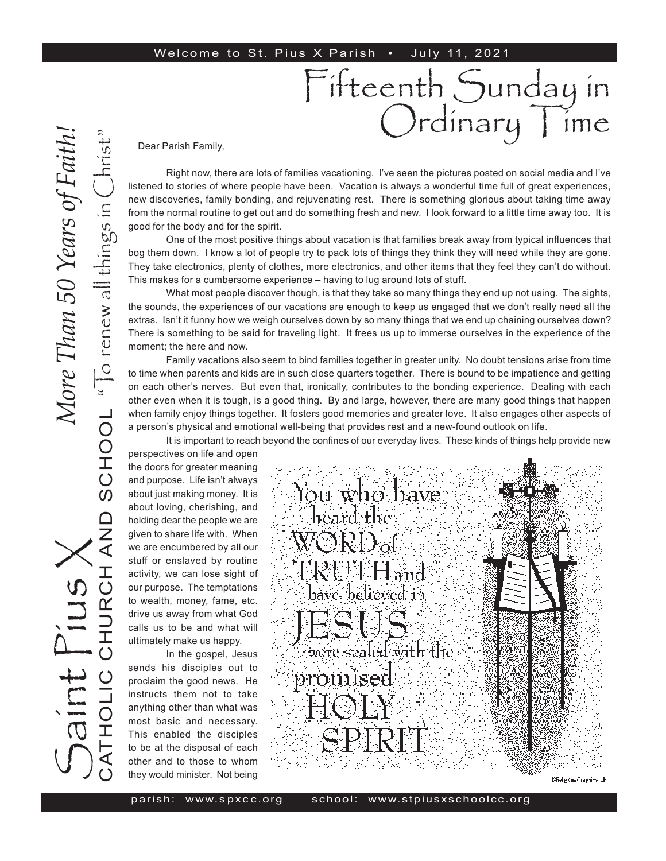#### Welcome to St. Pius X Parish . July 11, 2021

Dear Parish Family,

Right now, there are lots of families vacationing. I've seen the pictures posted on social media and I've listened to stories of where people have been. Vacation is always a wonderful time full of great experiences, new discoveries, family bonding, and rejuvenating rest. There is something glorious about taking time away from the normal routine to get out and do something fresh and new. I look forward to a little time away too. It is good for the body and for the spirit.

Fifteenth Sunday in

rdinary lime

One of the most positive things about vacation is that families break away from typical influences that bog them down. I know a lot of people try to pack lots of things they think they will need while they are gone. They take electronics, plenty of clothes, more electronics, and other items that they feel they can't do without. This makes for a cumbersome experience – having to lug around lots of stuff.

What most people discover though, is that they take so many things they end up not using. The sights, the sounds, the experiences of our vacations are enough to keep us engaged that we don't really need all the extras. Isn't it funny how we weigh ourselves down by so many things that we end up chaining ourselves down? There is something to be said for traveling light. It frees us up to immerse ourselves in the experience of the moment; the here and now.

Family vacations also seem to bind families together in greater unity. No doubt tensions arise from time to time when parents and kids are in such close quarters together. There is bound to be impatience and getting on each other's nerves. But even that, ironically, contributes to the bonding experience. Dealing with each other even when it is tough, is a good thing. By and large, however, there are many good things that happen when family enjoy things together. It fosters good memories and greater love. It also engages other aspects of a person's physical and emotional well-being that provides rest and a new-found outlook on life.

It is important to reach beyond the confines of our everyday lives. These kinds of things help provide new

perspectives on life and open the doors for greater meaning and purpose. Life isn't always about just making money. It is about loving, cherishing, and holding dear the people we are given to share life with. When we are encumbered by all our stuff or enslaved by routine activity, we can lose sight of our purpose. The temptations to wealth, money, fame, etc. drive us away from what God calls us to be and what will ultimately make us happy.

In the gospel, Jesus sends his disciples out to proclaim the good news. He instructs them not to take anything other than what was most basic and necessary. This enabled the disciples to be at the disposal of each other and to those to whom they would minister. Not being

S

aint Pius X

CATHOLIC CHURCH AND SCHOOL

**QNA** 

" $\overline{C}$  renew all things in  $\overline{C}$ hrist"

SCHOOL "To renew all things in

hrist

*More Than 50 Years of Faith!*More Than 50 Years of Faith



Sfiel gons Grephics, Lbl.

parish: www. s px c c.or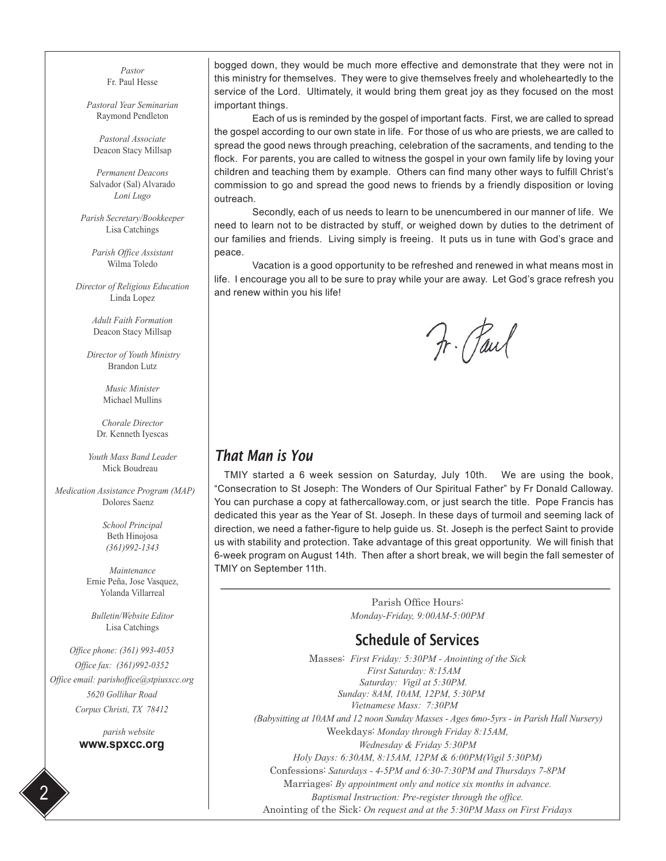*Pastor* Fr. Paul Hesse

*Pastoral Year Seminarian* Raymond Pendleton

*Pastoral Associate* Deacon Stacy Millsap

*Permanent Deacons* Salvador (Sal) Alvarado *Loni Lugo*

*Parish Secretary/Bookkeeper* Lisa Catchings

*Parish Office Assistant* Wilma Toledo

*Director of Religious Education* Linda Lopez

> *Adult Faith Formation* Deacon Stacy Millsap

 *Director of Youth Ministry* Brandon Lutz

> *Music Minister* Michael Mullins

*Chorale Director* Dr. Kenneth Iyescas

*Youth Mass Band Leader* Mick Boudreau

 *Medication Assistance Program (MAP)* Dolores Saenz

> *School Principal* Beth Hinojosa *(361)992-1343*

*Maintenance* Ernie Peña, Jose Vasquez, Yolanda Villarreal

*Bulletin/Website Editor* Lisa Catchings

*Office phone: (361) 993-4053 Office fax: (361)992-0352 Office email: parishoffice@stpiusxcc.org 5620 Gollihar Road Corpus Christi, TX 78412*

> *parish website* **www.spxcc.org**

2

bogged down, they would be much more effective and demonstrate that they were not in this ministry for themselves. They were to give themselves freely and wholeheartedly to the service of the Lord. Ultimately, it would bring them great joy as they focused on the most important things.

Each of us is reminded by the gospel of important facts. First, we are called to spread the gospel according to our own state in life. For those of us who are priests, we are called to spread the good news through preaching, celebration of the sacraments, and tending to the flock. For parents, you are called to witness the gospel in your own family life by loving your children and teaching them by example. Others can find many other ways to fulfill Christ's commission to go and spread the good news to friends by a friendly disposition or loving outreach.

Secondly, each of us needs to learn to be unencumbered in our manner of life. We need to learn not to be distracted by stuff, or weighed down by duties to the detriment of our families and friends. Living simply is freeing. It puts us in tune with God's grace and peace.

Vacation is a good opportunity to be refreshed and renewed in what means most in life. I encourage you all to be sure to pray while your are away. Let God's grace refresh you and renew within you his life!

Fr. Paul

### *That Man is You*

TMIY started a 6 week session on Saturday, July 10th. We are using the book, "Consecration to St Joseph: The Wonders of Our Spiritual Father" by Fr Donald Calloway. You can purchase a copy at fathercalloway.com, or just search the title. Pope Francis has dedicated this year as the Year of St. Joseph. In these days of turmoil and seeming lack of direction, we need a father-figure to help guide us. St. Joseph is the perfect Saint to provide us with stability and protection. Take advantage of this great opportunity. We will finish that 6-week program on August 14th. Then after a short break, we will begin the fall semester of TMIY on September 11th.

> Parish Office Hours: *Monday-Friday, 9:00AM-5:00PM*

### Schedule of Services

Masses: *First Friday: 5:30PM - Anointing of the Sick First Saturday: 8:15AM Saturday: Vigil at 5:30PM. Sunday: 8AM, 10AM, 12PM, 5:30PM Vietnamese Mass: 7:30PM (Babysitting at 10AM and 12 noon Sunday Masses - Ages 6mo-5yrs - in Parish Hall Nursery)* Weekdays: *Monday through Friday 8:15AM, Wednesday & Friday 5:30PM Holy Days: 6:30AM, 8:15AM, 12PM & 6:00PM(Vigil 5:30PM)* Confessions: *Saturdays - 4-5PM and 6:30-7:30PM and Thursdays 7-8PM* Marriages: *By appointment only and notice six months in advance. Baptismal Instruction: Pre-register through the office.* Anointing of the Sick: *On request and at the 5:30PM Mass on First Fridays*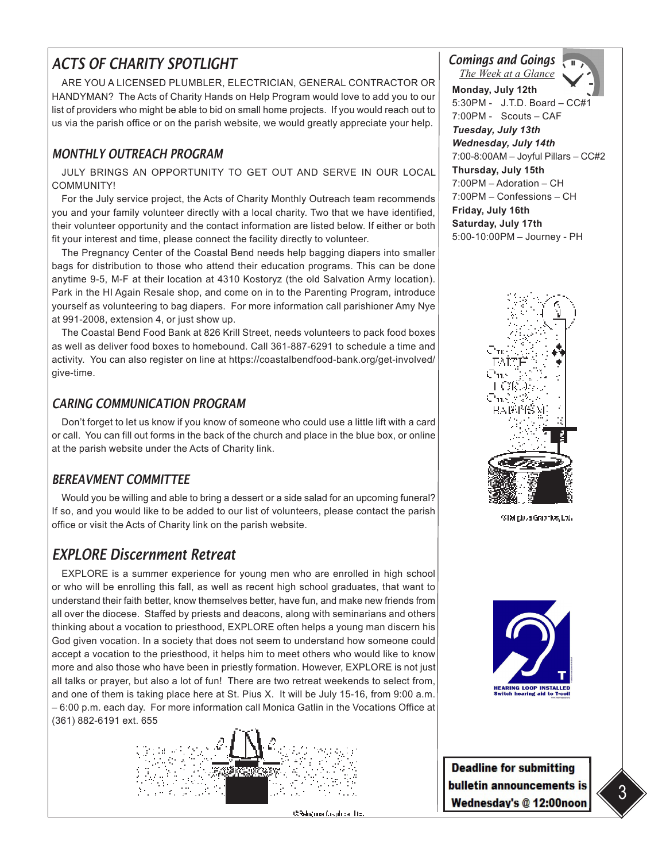## *ACTS OF CHARITY SPOTLIGHT*

ARE YOU A LICENSED PLUMBLER, ELECTRICIAN, GENERAL CONTRACTOR OR HANDYMAN? The Acts of Charity Hands on Help Program would love to add you to our list of providers who might be able to bid on small home projects. If you would reach out to us via the parish office or on the parish website, we would greatly appreciate your help.

#### *MONTHLY OUTREACH PROGRAM*

JULY BRINGS AN OPPORTUNITY TO GET OUT AND SERVE IN OUR LOCAL COMMUNITY!

For the July service project, the Acts of Charity Monthly Outreach team recommends you and your family volunteer directly with a local charity. Two that we have identified, their volunteer opportunity and the contact information are listed below. If either or both fit your interest and time, please connect the facility directly to volunteer.

The Pregnancy Center of the Coastal Bend needs help bagging diapers into smaller bags for distribution to those who attend their education programs. This can be done anytime 9-5, M-F at their location at 4310 Kostoryz (the old Salvation Army location). Park in the HI Again Resale shop, and come on in to the Parenting Program, introduce yourself as volunteering to bag diapers. For more information call parishioner Amy Nye at 991-2008, extension 4, or just show up.

The Coastal Bend Food Bank at 826 Krill Street, needs volunteers to pack food boxes as well as deliver food boxes to homebound. Call 361-887-6291 to schedule a time and activity. You can also register on line at https://coastalbendfood-bank.org/get-involved/ give-time.

#### *CARING COMMUNICATION PROGRAM*

Don't forget to let us know if you know of someone who could use a little lift with a card or call. You can fill out forms in the back of the church and place in the blue box, or online at the parish website under the Acts of Charity link.

#### *BEREAVMENT COMMITTEE*

Would you be willing and able to bring a dessert or a side salad for an upcoming funeral? If so, and you would like to be added to our list of volunteers, please contact the parish office or visit the Acts of Charity link on the parish website.

### *EXPLORE Discernment Retreat*

EXPLORE is a summer experience for young men who are enrolled in high school or who will be enrolling this fall, as well as recent high school graduates, that want to understand their faith better, know themselves better, have fun, and make new friends from all over the diocese. Staffed by priests and deacons, along with seminarians and others thinking about a vocation to priesthood, EXPLORE often helps a young man discern his God given vocation. In a society that does not seem to understand how someone could accept a vocation to the priesthood, it helps him to meet others who would like to know more and also those who have been in priestly formation. However, EXPLORE is not just all talks or prayer, but also a lot of fun! There are two retreat weekends to select from, and one of them is taking place here at St. Pius X. It will be July 15-16, from 9:00 a.m. – 6:00 p.m. each day. For more information call Monica Gatlin in the Vocations Office at (361) 882-6191 ext. 655



**Chicago Countries** In

*Comings and Goings The Week at a Glance*



**Monday, July 12th** 5:30PM - J.T.D. Board - CC#1 7:00PM - Scouts – CAF *Tuesday, July 13th Wednesday, July 14th*  7:00-8:00AM – Joyful Pillars – CC#2 **Thursday, July 15th**  7:00PM – Adoration – CH 7:00PM – Confessions – CH **Friday, July 16th Saturday, July 17th**  5:00-10:00PM – Journey - PH

> . 'n LCT

> > (2154 plusa Graphics, Ltd.)



**Deadline for submitting** bulletin announcements is Wednesday's @ 12:00noon